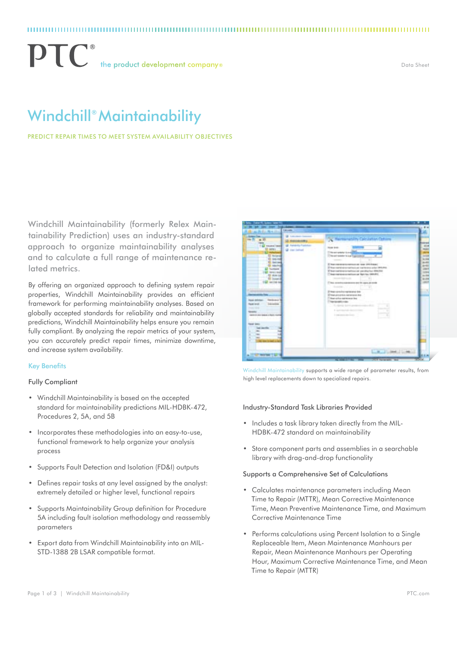$\mathbf{P}\mathbf{T}$  the product development companys

Data Sheet

# Windchill® Maintainability

Predict Repair Times to Meet System Availability Objectives

Windchill Maintainability (formerly Relex Maintainability Prediction) uses an industry-standard approach to organize maintainability analyses and to calculate a full range of maintenance related metrics.

By offering an organized approach to defining system repair properties, Windchill Maintainability provides an efficient framework for performing maintainability analyses. Based on globally accepted standards for reliability and maintainability predictions, Windchill Maintainability helps ensure you remain fully compliant. By analyzing the repair metrics of your system, you can accurately predict repair times, minimize downtime, and increase system availability.

#### Key Benefits

#### Fully Compliant

- • Windchill Maintainability is based on the accepted standard for maintainability predictions MIL-HDBK-472, Procedures 2, 5A, and 5B
- Incorporates these methodologies into an easy-to-use, functional framework to help organize your analysis process
- Supports Fault Detection and Isolation (FD&I) outputs
- • Defines repair tasks at any level assigned by the analyst: extremely detailed or higher level, functional repairs
- • Supports Maintainability Group definition for Procedure 5A including fault isolation methodology and reassembly parameters
- **Export data from Windchill Maintainability into an MIL-**STD-1388 2B LSAR compatible format.



Windchill Maintainability supports a wide range of parameter results, from high level replacements down to specialized repairs.

#### Industry-Standard Task Libraries Provided

- Includes a task library taken directly from the MIL-HDBK-472 standard on maintainability
- Store component parts and assemblies in a searchable library with drag-and-drop functionality

#### Supports a Comprehensive Set of Calculations

- Calculates maintenance parameters including Mean Time to Repair (MTTR), Mean Corrective Maintenance Time, Mean Preventive Maintenance Time, and Maximum Corrective Maintenance Time
- Performs calculations using Percent Isolation to a Single Replaceable Item, Mean Maintenance Manhours per Repair, Mean Maintenance Manhours per Operating Hour, Maximum Corrective Maintenance Time, and Mean Time to Repair (MTTR)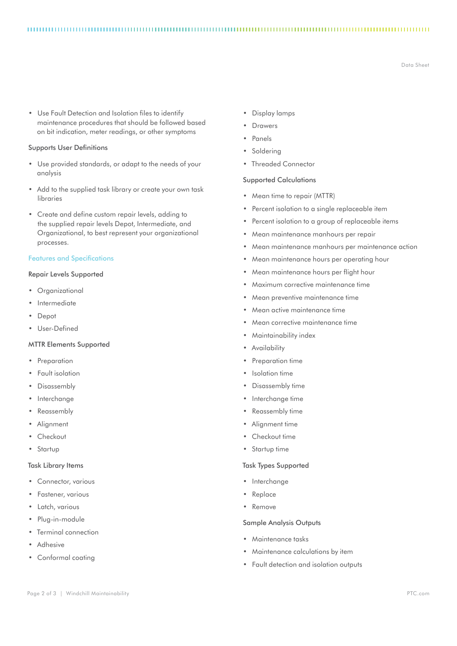Data Sheet

• Use Fault Detection and Isolation files to identify maintenance procedures that should be followed based on bit indication, meter readings, or other symptoms

#### Supports User Definitions

- • Use provided standards, or adapt to the needs of your analysis
- Add to the supplied task library or create your own task libraries
- • Create and define custom repair levels, adding to the supplied repair levels Depot, Intermediate, and Organizational, to best represent your organizational processes.

#### Features and Specifications

#### Repair Levels Supported

- Organizational
- **Intermediate**
- • Depot
- • User-Defined

### MTTR Elements Supported

- • Preparation
- Fault isolation
- Disassembly
- **Interchange**
- **Reassembly**
- **Alignment**
- Checkout
- • Startup

#### Task Library Items

- • Connector, various
- Fastener, various
- • Latch, various
- Plug-in-module
- Terminal connection
- **Adhesive**
- • Conformal coating
- • Display lamps
- **Drawers**

- **Panels**
- Soldering
- • Threaded Connector

#### Supported Calculations

- Mean time to repair (MTTR)
- • Percent isolation to a single replaceable item
- Percent isolation to a group of replaceable items
- • Mean maintenance manhours per repair
- • Mean maintenance manhours per maintenance action
- Mean maintenance hours per operating hour
- Mean maintenance hours per flight hour
- Maximum corrective maintenance time
- Mean preventive maintenance time
- Mean active maintenance time
- Mean corrective maintenance time
- Maintainability index
- • Availability
- • Preparation time
- Isolation time
- Disassembly time
- Interchange time
- • Reassembly time
- • Alignment time
- Checkout time
- • Startup time

### Task Types Supported

- Interchange
- • Replace
- • Remove

#### Sample Analysis Outputs

- • Maintenance tasks
- Maintenance calculations by item
- • Fault detection and isolation outputs